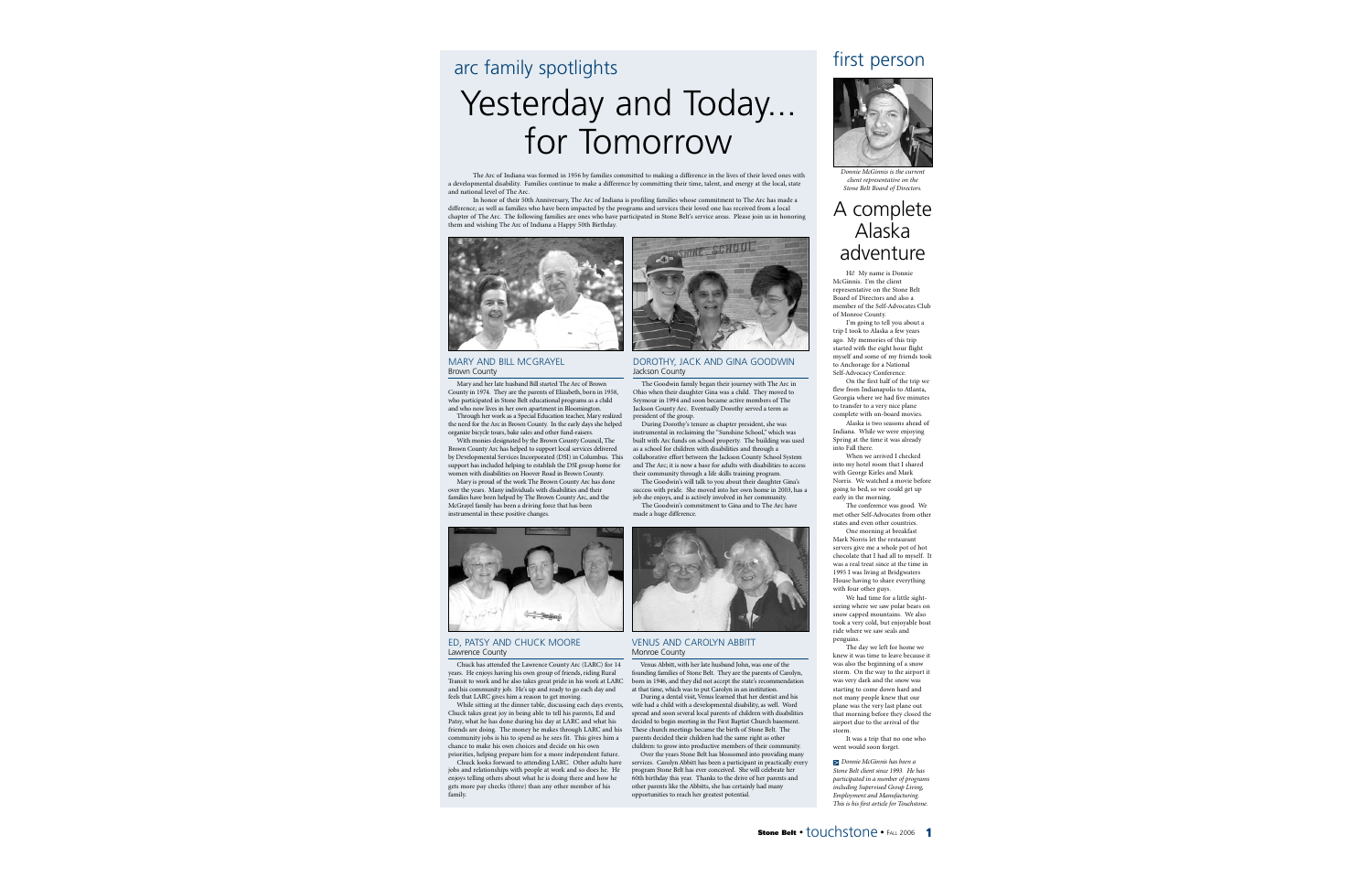# arc family spotlights

# Yesterday and Today... for Tomorrow

The Arc of Indiana was formed in 1956 by families committed to making a difference in the lives of their loved ones with a developmental disability. Families continue to make a difference by committing their time, talent, and energy at the local, state and national level of The Arc.

In honor of their 50th Anniversary, The Arc of Indiana is profiling families whose commitment to The Arc has made a difference; as well as families who have been impacted by the programs and services their loved one has received from a local chapter of The Arc. The following families are ones who have participated in Stone Belt's service areas. Please join us in honoring them and wishing The Arc of Indiana a Happy 50th Birthday.



MARY AND BILL MCGRAYEL Brown County

Mary and her late husband Bill started The Arc of Brown County in 1974. They are the parents of Elizabeth, born in 1958, who participated in Stone Belt educational programs as a child and who now lives in her own apartment in Bloomington.

Through her work as a Special Education teacher, Mary realized the need for the Arc in Brown County. In the early days she helped organize bicycle tours, bake sales and other fund-raisers.

With monies designated by the Brown County Council, The Brown County Arc has helped to support local services delivered by Developmental Services Incorporated (DSI) in Columbus. This support has included helping to establish the DSI group home for women with disabilities on Hoover Road in Brown County.

Mary is proud of the work The Brown County Arc has done over the years. Many individuals with disabilities and their families have been helped by The Brown County Arc, and the McGrayel family has been a driving force that has been instrumental in these positive changes.



# DOROTHY, JACK AND GINA GOODWIN Jackson County

The Goodwin family began their journey with The Arc in Ohio when their daughter Gina was a child. They moved to Seymour in 1994 and soon became active members of The Jackson County Arc. Eventually Dorothy served a term as president of the group.

During Dorothy's tenure as chapter president, she was instrumental in reclaiming the "Sunshine School," which was built with Arc funds on school property. The building was used as a school for children with disabilities and through a collaborative effort between the Jackson County School System and The Arc; it is now a base for adults with disabilities to access their community through a life skills training program.

The Goodwin's will talk to you about their daughter Gina's success with pride. She moved into her own home in 2003, has a

job she enjoys, and is actively involved in her community. The Goodwin's commitment to Gina and to The Arc have made a huge difference.



# ED, PATSY AND CHUCK MOORE Lawrence County

Chuck has attended the Lawrence County Arc (LARC) for 14 years. He enjoys having his own group of friends, riding Rural Transit to work and he also takes great pride in his work at LARC and his community job. He's up and ready to go each day and feels that LARC gives him a reason to get moving.

While sitting at the dinner table, discussing each days events, Chuck takes great joy in being able to tell his parents, Ed and Patsy, what he has done during his day at LARC and what his friends are doing. The money he makes through LARC and his community jobs is his to spend as he sees fit. This gives him a chance to make his own choices and decide on his own

priorities, helping prepare him for a more independent future. Chuck looks forward to attending LARC. Other adults have jobs and relationships with people at work and so does he. He enjoys telling others about what he is doing there and how he gets more pay checks (three) than any other member of his family.



# VENUS AND CAROLYN ABBITT Monroe County

Venus Abbitt, with her late husband John, was one of the founding families of Stone Belt. They are the parents of Carolyn, born in 1946, and they did not accept the state's recommendation at that time, which was to put Carolyn in an institution.

During a dental visit, Venus learned that her dentist and his wife had a child with a developmental disability, as well. Word spread and soon several local parents of children with disabilities decided to begin meeting in the First Baptist Church basement. These church meetings became the birth of Stone Belt. The parents decided their children had the same right as other children: to grow into productive members of their community.

Over the years Stone Belt has blossomed into providing many services. Carolyn Abbitt has been a participant in practically every program Stone Belt has ever conceived. She will celebrate her 60th birthday this year. Thanks to the drive of her parents and other parents like the Abbitts, she has certainly had many opportunities to reach her greatest potential.

# first person



*Donnie McGinnis is the current client representative on the Stone Belt Board of Directors.*

# A complete Alaska adventure

Hi! My name is Donnie McGinnis. I'm the client representative on the Stone Belt Board of Directors and also a member of the Self-Advocates Club of Monroe County.

I'm going to tell you about a trip I took to Alaska a few years ago. My memories of this trip started with the eight hour flight myself and some of my friends took to Anchorage for a National Self-Advocacy Conference.

On the first half of the trip we flew from Indianapolis to Atlanta, Georgia where we had five minutes to transfer to a very nice plane complete with on-board movies.

Alaska is two seasons ahead of Indiana. While we were enjoying Spring at the time it was already into Fall there.

When we arrived I checked into my hotel room that I shared with George Kirles and Mark Norris. We watched a movie before going to bed, so we could get up early in the morning.

The conference was good. We met other Self-Advocates from other states and even other countries.

One morning at breakfast Mark Norris let the restaurant servers give me a whole pot of hot chocolate that I had all to myself. It was a real treat since at the time in 1995 I was living at Bridgwaters House having to share everything with four other guys.

We had time for a little sightseeing where we saw polar bears on snow capped mountains. We also took a very cold, but enjoyable boat ride where we saw seals and penguins.

The day we left for home we knew it was time to leave because it was also the beginning of a snow storm. On the way to the airport it was very dark and the snow was starting to come down hard and not many people knew that our plane was the very last plane out that morning before they closed the airport due to the arrival of the storm.

It was a trip that no one who went would soon forget.

*Donnie McGinnis has been a*  >*Stone Belt client since 1993. He has participated in a number of programs including Supervised Group Living, Employment and Manufacturing. This is his first article for Touchstone.*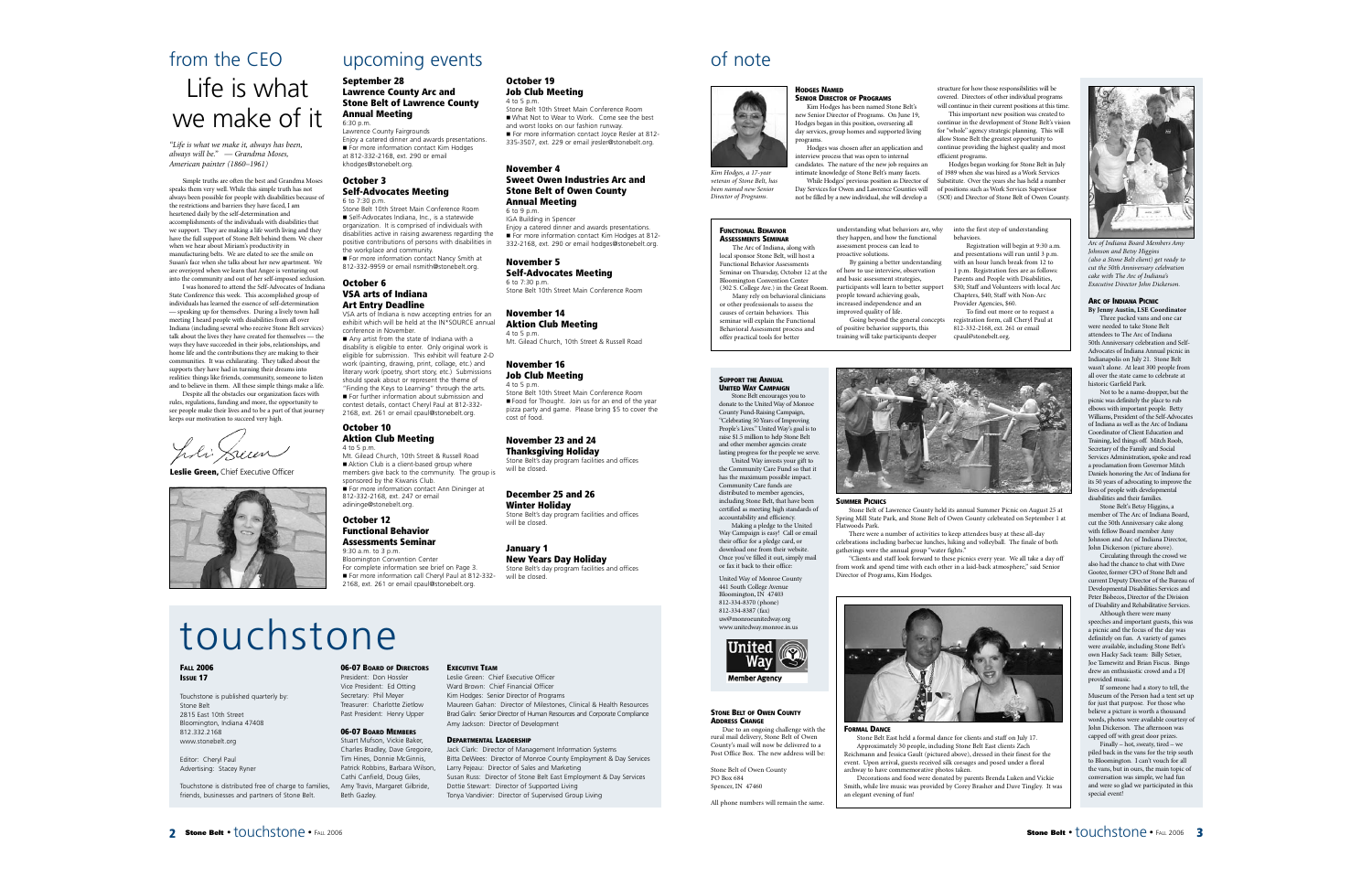# from the CEO Life is what we make of it

*"Life is what we make it, always has been, always will be." — Grandma Moses, American painter (1860–1961)* 

Simple truths are often the best and Grandma Moses speaks them very well. While this simple truth has not always been possible for people with disabilities because of the restrictions and barriers they have faced, I am heartened daily by the self-determination and accomplishments of the individuals with disabilities that we support. They are making a life worth living and they have the full support of Stone Belt behind them. We cheer when we hear about Miriam's productivity in manufacturing belts. We are elated to see the smile on Susan's face when she talks about her new apartment. We are overjoyed when we learn that Angee is venturing out into the community and out of her self-imposed seclusion.

I was honored to attend the Self-Advocates of Indiana State Conference this week. This accomplished group of individuals has learned the essence of self-determination — speaking up for themselves. During a lively town hall meeting I heard people with disabilities from all over Indiana (including several who receive Stone Belt services) talk about the lives they have created for themselves — the ways they have succeeded in their jobs, relationships, and home life and the contributions they are making to their communities. It was exhilarating. They talked about the supports they have had in turning their dreams into

realities: things like friends, community, someone to listen and to believe in them. All these simple things make a life. Despite all the obstacles our organization faces with rules, regulations, funding and more, the opportunity to see people make their lives and to be a part of that journey keeps our motivation to succeed very high.

J.li Sum

**Leslie Green,** Chief Executive Officer



# upcoming events

**October 19 Job Club Meeting**

**November 4**

**November 5**

**November 14 Aktion Club Meeting**

**November 16 Job Club Meeting**

**November 23 and 24 Thanksgiving Holiday** Stone Belt's day program facilities and offices

**December 25 and 26 Winter Holiday**

**New Years Day Holiday** Stone Belt's day program facilities and offices

 $6$  to  $7.30$  p.m.

4 to 5 p.m.

4 to 5 p.m.

cost of food.

will be closed.

will be closed.

**January 1**

will be closed

**Self-Advocates Meeting**

**Annual Meeting** 6 to 9 p.m. IGA Building in Spencer

Stone Belt 10th Street Main Conference Room What Not to Wear to Work. Come see the best and worst looks on our fashion runway. For more information contact Joyce Resler at 812-335-3507, ext. 229 or email jresler@stonebelt.org.

**Sweet Owen Industries Arc and Stone Belt of Owen County** 

Enjoy a catered dinner and awards presentations. For more information contact Kim Hodges at 812-332-2168, ext. 290 or email hodges@stonebelt.org.

Stone Belt 10th Street Main Conference Room

Mt. Gilead Church, 10th Street & Russell Road

Stone Belt 10th Street Main Conference Room Food for Thought. Join us for an end of the year pizza party and game. Please bring \$5 to cover the

Stone Belt's day program facilities and offices

4 to 5 p.m.

# **September 28 Lawrence County Arc and Stone Belt of Lawrence County Annual Meeting**  $6:30 \text{ p.m.}$

Lawrence County Fairgrounds Enjoy a catered dinner and awards presentations. For more information contact Kim Hodges at 812-332-2168, ext. 290 or email khodges@stonebelt.org.

# **October 3 Self-Advocates Meeting** 6 to 7:30 p.m.

Stone Belt 10th Street Main Conference Room Self-Advocates Indiana, Inc., is a statewide organization. It is comprised of individuals with disabilities active in raising awareness regarding the positive contributions of persons with disabilities in the workplace and community. ■ For more information contact Nancy Smith at

812-332-9959 or email nsmith@stonebelt.org. **October 6 VSA arts of Indiana** 

# **Art Entry Deadline**

VSA arts of Indiana is now accepting entries for an exhibit which will be held at the IN\*SOURCE annual conference in November. Any artist from the state of Indiana with a disability is eligible to enter. Only original work is eligible for submission. This exhibit will feature 2-D work (painting, drawing, print, collage, etc.) and

literary work (poetry, short story, etc.) Submissions should speak about or represent the theme of "Finding the Keys to Learning" through the arts. For further information about submission and contest details, contact Cheryl Paul at 812-332- 2168, ext. 261 or email cpaul@stonebelt.org. **October 10**

# **Aktion Club Meeting** 4 to 5 p.m.

Mt. Gilead Church, 10th Street & Russell Road Aktion Club is a client-based group where members give back to the community. The group is sponsored by the Kiwanis Club. For more information contact Ann Dininger at 812-332-2168, ext. 247 or email adininge@stonebelt.org.

# **October 12 Functional Behavior Assessments Seminar** 9:30 a.m. to 3 p.m.

Bloomington Convention Center For complete information see brief on Page 3. For more information call Cheryl Paul at 812-332-2168, ext. 261 or email cpaul@stonebelt.org.

# touchstone

# **FALL 2006 ISSUE 17**

Touchstone is published quarterly by: Stone Belt 2815 East 10th Street Bloomington, Indiana 47408 812.332.2168 www.stonebelt.org

Editor: Cheryl Paul Advertising: Stacey Ryner

Touchstone is distributed free of charge to families, friends, businesses and partners of Stone Belt.

# **06-07 BOARD OF DIRECTORS**

President: Don Hossler Vice President: Ed Otting Secretary: Phil Meyer Treasurer: Charlotte Zietlow Past President: Henry Upper

**06-07 BOARD MEMBERS** Stuart Mufson, Vickie Baker,

Charles Bradley, Dave Gregoire, Tim Hines, Donnie McGinnis, Patrick Robbins, Barbara Wilson, Cathi Canfield, Doug Giles, Amy Travis, Margaret Gilbride, Beth Gazley.

# **EXECUTIVE TEAM**

Leslie Green: Chief Executive Officer Ward Brown: Chief Financial Officer Kim Hodges: Senior Director of Programs Maureen Gahan: Director of Milestones, Clinical & Health Resources Brad Galin: Senior Director of Human Resources and Corporate Compliance Amy Jackson: Director of Development

# **DEPARTMENTAL LEADERSHIP**

Jack Clark: Director of Management Information Systems Bitta DeWees: Director of Monroe County Employment & Day Services Larry Pejeau: Director of Sales and Marketing Susan Russ: Director of Stone Belt East Employment & Day Services Dottie Stewart: Director of Supported Living Tonya Vandivier: Director of Supervised Group Living

# of note



*Kim Hodges, a 17-year veteran of Stone Belt, has been named new Senior Director of Programs.*

### **FUNCTIONAL BEHAVIOR ASSESSMENTS SEMINAR**

The Arc of Indiana, along with local sponsor Stone Belt, will host a Functional Behavior Assessments Seminar on Thursday, October 12 at the Bloomington Convention Center (302 S. College Ave.) in the Great Room. Many rely on behavioral clinicians or other professionals to assess the causes of certain behaviors. This seminar will explain the Functional Behavioral Assessment process and offer practical tools for better participants will learn to better support

**HODGES NAMED**

programs.

**SENIOR DIRECTOR OF PROGRAMS** Kim Hodges has been named Stone Belt's new Senior Director of Programs. On June 19, Hodges began in this position, overseeing all day services, group homes and supported living

Hodges was chosen after an application and interview process that was open to internal candidates. The nature of the new job requires an intimate knowledge of Stone Belt's many facets. While Hodges' previous position as Director of Day Services for Owen and Lawrence Counties will not be filled by a new individual, she will develop a

> assessment process can lead to proactive solutions.

and basic assessment strategies,

people toward achieving goals, increased independence and an improved quality of life.

# **SUPPORT THE ANNUAL**

**UNITED WAY CAMPAIGN** Stone Belt encourages you to donate to the United Way of Monroe County Fund-Raising Campaign, "Celebrating 50 Years of Improving People's Lives." United Way's goal is to raise \$1.5 million to help Stone Belt and other member agencies create lasting progress for the people we serve.

United Way invests your gift to the Community Care Fund so that it has the maximum possible impact. Community Care funds are distributed to member agencies, including Stone Belt, that have been certified as meeting high standards of accountability and efficiency. Making a pledge to the United Way Campaign is easy! Call or email

their office for a pledge card, or download one from their website Once you've filled it out, simply mail or fax it back to their office:

United Way of Monroe County 441 South College Avenue Bloomington, IN 47403 812-334-8370 (phone) 812-334-8387 (fax) uw@monroeunitedway.org www.unitedway.monroe.in.us



County's mail will now be delivered to a Post Office Box. The new address will be:

All phone numbers will remain the same.

### **STONE BELT OF OWEN COUNTY ADDRESS CHANGE**

Stone Belt of Owen County

PO Box 684 Spencer, IN 47460

Due to an ongoing challenge with the rural mail delivery, Stone Belt of Owen

Approximately 30 people, including Stone Belt East clients Zach Reichmann and Jessica Gault (pictured above), dressed in their finest for the event. Upon arrival, guests received silk corsages and posed under a floral archway to have commemorative photos taken.

Smith, while live music was provided by Corey Brasher and Dave Tingley. It was an elegant evening of fun!

structure for how those responsibilities will be covered. Directors of other individual programs will continue in their current positions at this time. This important new position was created to continue in the development of Stone Belt's vision for "whole" agency strategic planning. This will allow Stone Belt the greatest opportunity to continue providing the highest quality and most efficient programs.

Hodges began working for Stone Belt in July of 1989 when she was hired as a Work Services Substitute. Over the years she has held a number of positions such as Work Services Supervisor (SOI) and Director of Stone Belt of Owen County.

understanding what behaviors are, why they happen, and how the functional By gaining a better understanding of how to use interview, observation into the first step of understanding behaviors. Registration will begin at 9:30 a.m. and presentations will run until 3 p.m. with an hour lunch break from 12 to

1 p.m. Registration fees are as follows: Parents and People with Disabilities, \$30; Staff and Volunteers with local Arc Chapters, \$40; Staff with Non-Arc Provider Agencies, \$60. To find out more or to request a

Going beyond the general concepts of positive behavior supports, this training will take participants deeper registration form, call Cheryl Paul at 812-332-2168, ext. 261 or email cpaul@stonebelt.org.



# **SUMMER PICNICS**

Stone Belt of Lawrence County held its annual Summer Picnic on August 25 at Spring Mill State Park, and Stone Belt of Owen County celebrated on September 1 at Flatwoods Park.

There were a number of activities to keep attendees busy at these all-day celebrations including barbecue lunches, hiking and volleyball. The finale of both gatherings were the annual group "water fights."

"Clients and staff look forward to these picnics every year. We all take a day off from work and spend time with each other in a laid-back atmosphere," said Senior Director of Programs, Kim Hodges.



# **FORMAL DANCE**

Stone Belt East held a formal dance for clients and staff on July 17.

Decorations and food were donated by parents Brenda Luken and Vickie



*Arc of Indiana Board Members Amy Johnson and Betsy Higgins (also a Stone Belt client) get ready to cut the 50th Anniversary celebration cake with The Arc of Indiana's Executive Director John Dickerson.*

# **ARC OF INDIANA PICNIC**

**By Jenny Austin, LSE Coordinator** Three packed vans and one car were needed to take Stone Belt attendees to The Arc of Indiana 50th Anniversary celebration and Self-Advocates of Indiana Annual picnic in Indianapolis on July 21. Stone Belt wasn't alone. At least 300 people from all over the state came to celebrate at historic Garfield Park.

Not to be a name-dropper, but the picnic was definitely the place to rub elbows with important people. Betty Williams, President of the Self-Advocates of Indiana as well as the Arc of Indiana Coordinator of Client Education and Training, led things off. Mitch Roob, Secretary of the Family and Social Services Administration, spoke and read a proclamation from Governor Mitch Daniels honoring the Arc of Indiana for its 50 years of advocating to improve the lives of people with developmental disabilities and their families.

Stone Belt's Betsy Higgins, <sup>a</sup> member of The Arc of Indiana Board, cut the 50th Anniversary cake along with fellow Board member Amy Johnson and Arc of Indiana Director, John Dickerson (picture above).

Circulating through the crowd we also had the chance to chat with Dave Gootee, former CFO of Stone Belt and current Deputy Director of the Bureau of Developmental Disabilities Services and Peter Bisbecos, Director of the Division of Disability and Rehabilitative Services.

Although there were many speeches and important guests, this was a picnic and the focus of the day was definitely on fun. A variety of games were available, including Stone Belt's own Hacky Sack team: Billy Setser, Joe Tamewitz and Brian Fiscus. Bingo drew an enthusiastic crowd and a DJ provided music.

If someone had a story to tell, the Museum of the Person had a tent set up for just that purpose. For those who believe a picture is worth a thousand words, photos were available courtesy of John Dickerson. The afternoon was capped off with great door prizes.

Finally – hot, sweaty, tired – we piled back in the vans for the trip south to Bloomington. I can't vouch for all the vans, but in ours, the main topic of conversation was simple, we had fun and were so glad we participated in this special event!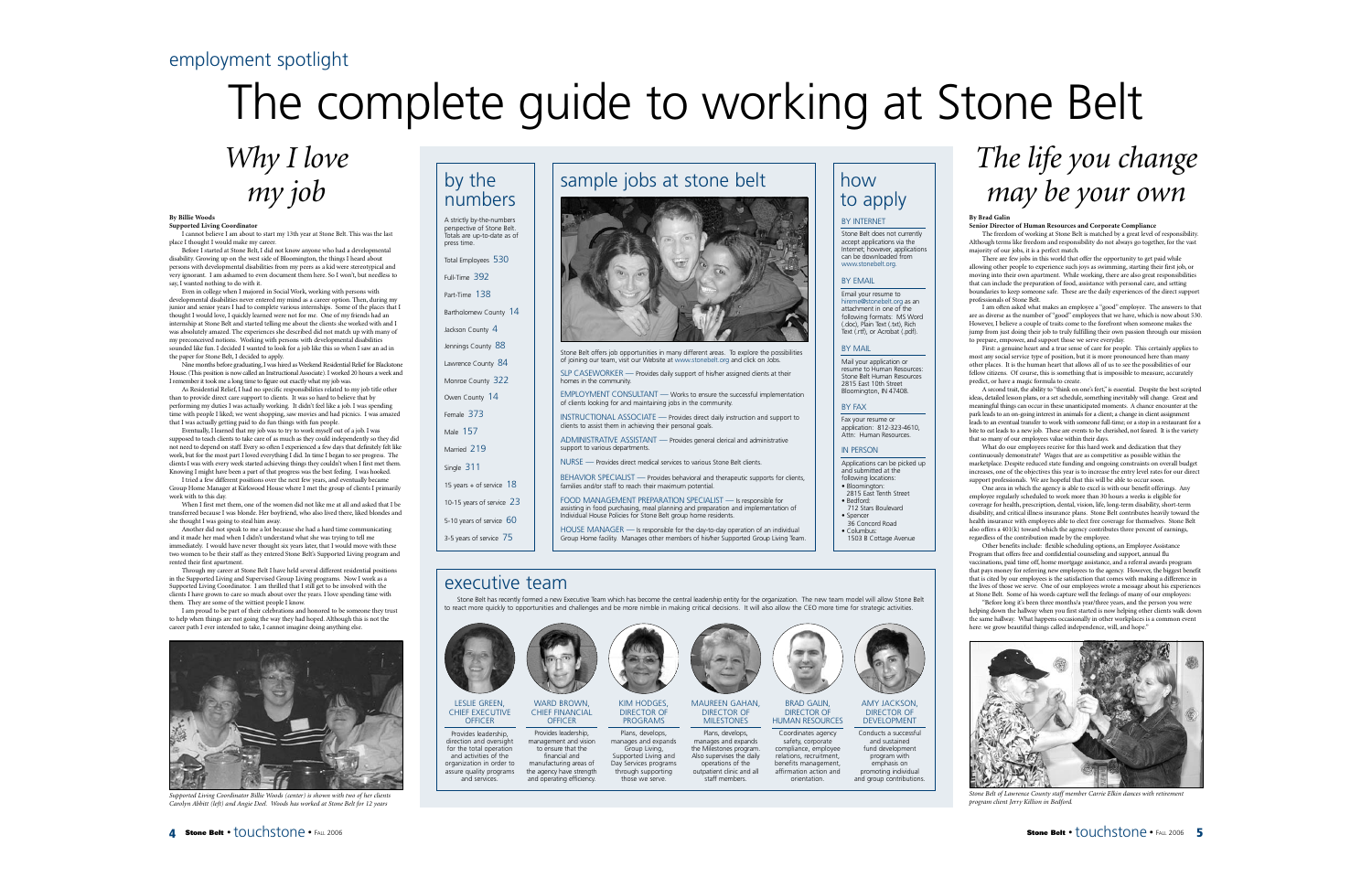# employment spotlight

# The complete guide to working at Stone Belt

# *Why I love my job*

### **By Billie Woods Supported Living Coordinator**

I cannot believe I am about to start my 13th year at Stone Belt. This was the last place I thought I would make my career.

Before I started at Stone Belt, I did not know anyone who had a developmental disability. Growing up on the west side of Bloomington, the things I heard about persons with developmental disabilities from my peers as a kid were stereotypical and very ignorant. I am ashamed to even document them here. So I won't, but needless to say, I wanted nothing to do with it.

Even in college when I majored in Social Work, working with persons with developmental disabilities never entered my mind as a career option. Then, during my junior and senior years I had to complete various internships. Some of the places that I thought I would love, I quickly learned were not for me. One of my friends had an internship at Stone Belt and started telling me about the clients she worked with and I was absolutely amazed. The experiences she described did not match up with many of my preconceived notions. Working with persons with developmental disabilities sounded like fun. I decided I wanted to look for a job like this so when I saw an ad in the paper for Stone Belt, I decided to apply.

Nine months before graduating, I was hired as Weekend Residential Relief for Blackstone House. (This position is now called an Instructional Associate). I worked 20 hours a week and I remember it took me a long time to figure out exactly what my job was.

As Residential Relief, I had no specific responsibilities related to my job title other than to provide direct care support to clients. It was so hard to believe that by performing my duties I was actually working. It didn't feel like a job. I was spending time with people I liked; we went shopping, saw movies and had picnics. I was amazed that I was actually getting paid to do fun things with fun people.

Eventually, I learned that my job was to try to work myself out of a job. I was supposed to teach clients to take care of as much as they could independently so they did not need to depend on staff. Every so often I experienced a few days that definitely felt like work, but for the most part I loved everything I did. In time I began to see progress. The clients I was with every week started achieving things they couldn't when I first met them. Knowing I might have been a part of that progress was the best feeling. I was hooked.

I tried a few different positions over the next few years, and eventually became Group Home Manager at Kirkwood House where I met the group of clients I primarily work with to this day.

When I first met them, one of the women did not like me at all and asked that I be transferred because I was blonde. Her boyfriend, who also lived there, liked blondes and she thought I was going to steal him away.

Another did not speak to me a lot because she had a hard time communicating and it made her mad when I didn't understand what she was trying to tell me immediately. I would have never thought six years later, that I would move with these two women to be their staff as they entered Stone Belt's Supported Living program and rented their first apartment.

Through my career at Stone Belt I have held several different residential positions in the Supported Living and Supervised Group Living programs. Now I work as a Supported Living Coordinator. I am thrilled that I still get to be involved with the clients I have grown to care so much about over the years. I love spending time with them. They are some of the wittiest people I know.

I am proud to be part of their celebrations and honored to be someone they trust to help when things are not going the way they had hoped. Although this is not the career path I ever intended to take, I cannot imagine doing anything else.



*Supported Living Coordinator Billie Woods (center) is shown with two of her clients Carolyn Abbitt (left) and Angie Deel. Woods has worked at Stone Belt for 12 years*

# sample jobs at stone belt



Stone Belt offers job opportunities in many different areas. To explore the possibilities of joining our team, visit our Website at www.stonebelt.org and click on Jobs.

SLP CASEWORKER — Provides daily support of his/her assigned clients at their homes in the community.

EMPLOYMENT CONSULTANT — Works to ensure the successful implementation of clients looking for and maintaining jobs in the community.

INSTRUCTIONAL ASSOCIATE — Provides direct daily instruction and support to clients to assist them in achieving their personal goals.

|  | ADMINISTRATIVE ASSISTANT - Provides general clerical and administrative<br>support to various departments.                                 |
|--|--------------------------------------------------------------------------------------------------------------------------------------------|
|  | NURSE - Provides direct medical services to various Stone Belt clients.                                                                    |
|  | BEHAVIOR SPECIALIST - Provides behavioral and therapeutic supports for clients,<br>families and/or staff to reach their maximum potential. |

FOOD MANAGEMENT PREPARATION SPECIALIST — Is responsible for assisting in food purchasing, meal planning and preparation and implementation of Individual House Policies for Stone Belt group home residents.

HOUSE MANAGER — Is responsible for the day-to-day operation of an individual Group Home facility. Manages other members of his/her Supported Group Living Team.

# executive team

by the numbers

press time.

A strictly by-the-numbers perspective of Stone Belt. Totals are up-to-date as of

Total Employees 530 Full-Time 392 Part-Time 138

Bartholomew County 14 Jackson County 4 Jennings County 88 Lawrence County 84 Monroe County 322 Owen County 14 Female 373 Male 157 Married 219 Single 311

15 years + of service 18 10-15 years of service 23 5-10 years of service 60 3-5 years of service 75

Stone Belt has recently formed a new Executive Team which has become the central leadership entity for the organization. The new team model will allow Stone Belt to react more quickly to opportunities and challenges and be more nimble in making critical decisions. It will also allow the CEO more time for strategic activities.



# BY INTERNET

Stone Belt does not currently accept applications via the Internet; however, applications can be downloaded from www.stonebelt.org.

# BY EMAIL

Email your resume to hireme@stonebelt.org as an attachment in one of the following formats: MS Word (.doc), Plain Text (.txt), Rich Text (.rtf), or Acrobat (.pdf).

# BY MAIL

Mail your application or resume to Human Resources: Stone Belt Human Resources 2815 East 10th Street Bloomington, IN 47408.

# BY FAX

Fax your resume or application: 812-323-4610, Attn: Human Resources

# IN PERSON

| Applications can be picked up |
|-------------------------------|
| and submitted at the          |
| following locations:          |
| · Bloomington:                |
| 2815 East Tenth Street        |
| • Bedford:                    |
| 712 Stars Boulevard           |
| • Spencer                     |
| 36 Concord Road               |
| • Columbus:                   |
| 1503 B Cottage Avenue         |

# *The life you change* how<br>to apply **how to apply the your own**

# **By Brad Galin**

**Senior Director of Human Resources and Corporate Compliance** The freedom of working at Stone Belt is matched by a great level of responsibility. Although terms like freedom and responsibility do not always go together, for the vast majority of our jobs, it is a perfect match.

There are few jobs in this world that offer the opportunity to get paid while allowing other people to experience such joys as swimming, starting their first job, or moving into their own apartment. While working, there are also great responsibilities that can include the preparation of food, assistance with personal care, and setting boundaries to keep someone safe. These are the daily experiences of the direct support professionals of Stone Belt.

I am often asked what makes an employee a "good" employee. The answers to that are as diverse as the number of "good" employees that we have, which is now about 530. However, I believe a couple of traits come to the forefront when someone makes the jump from just doing their job to truly fulfilling their own passion through our mission to prepare, empower, and support those we serve everyday.

First: a genuine heart and a true sense of care for people. This certainly applies to most any social service type of position, but it is more pronounced here than many other places. It is the human heart that allows all of us to see the possibilities of our fellow citizens. Of course, this is something that is impossible to measure, accurately predict, or have a magic formula to create.

A second trait, the ability to "think on one's feet," is essential. Despite the best scripted ideas, detailed lesson plans, or a set schedule, something inevitably will change. Great and meaningful things can occur in these unanticipated moments. A chance encounter at the park leads to an on-going interest in animals for a client; a change in client assignment leads to an eventual transfer to work with someone full-time; or a stop in a restaurant for a bite to eat leads to a new job. These are events to be cherished, not feared. It is the variety that so many of our employees value within their days.

What do our employees receive for this hard work and dedication that they continuously demonstrate? Wages that are as competitive as possible within the marketplace. Despite reduced state funding and ongoing constraints on overall budget increases, one of the objectives this year is to increase the entry level rates for our direct support professionals. We are hopeful that this will be able to occur soon.

One area in which the agency is able to excel is with our benefit offerings. Any employee regularly scheduled to work more than 30 hours a weeks is eligible for coverage for health, prescription, dental, vision, life, long-term disability, short-term disability, and critical illness insurance plans. Stone Belt contributes heavily toward the health insurance with employees able to elect free coverage for themselves. Stone Belt also offers a 401(k) toward which the agency contributes three percent of earnings, regardless of the contribution made by the employee.

Other benefits include: flexible scheduling options, an Employee Assistance Program that offers free and confidential counseling and support, annual flu vaccinations, paid time off, home mortgage assistance, and a referral awards program that pays money for referring new employees to the agency. However, the biggest benefit that is cited by our employees is the satisfaction that comes with making a difference in the lives of those we serve. One of our employees wrote a message about his experiences at Stone Belt. Some of his words capture well the feelings of many of our employees:

"Before long it's been three months/a year/three years, and the person you were helping down the hallway when you first started is now helping other clients walk down the same hallway. What happens occasionally in other workplaces is a common event here: we grow beautiful things called independence, will, and hope."



*Stone Belt of Lawrence County staff member Carrie Elkin dances with retirement program client Jerry Killion in Bedford.*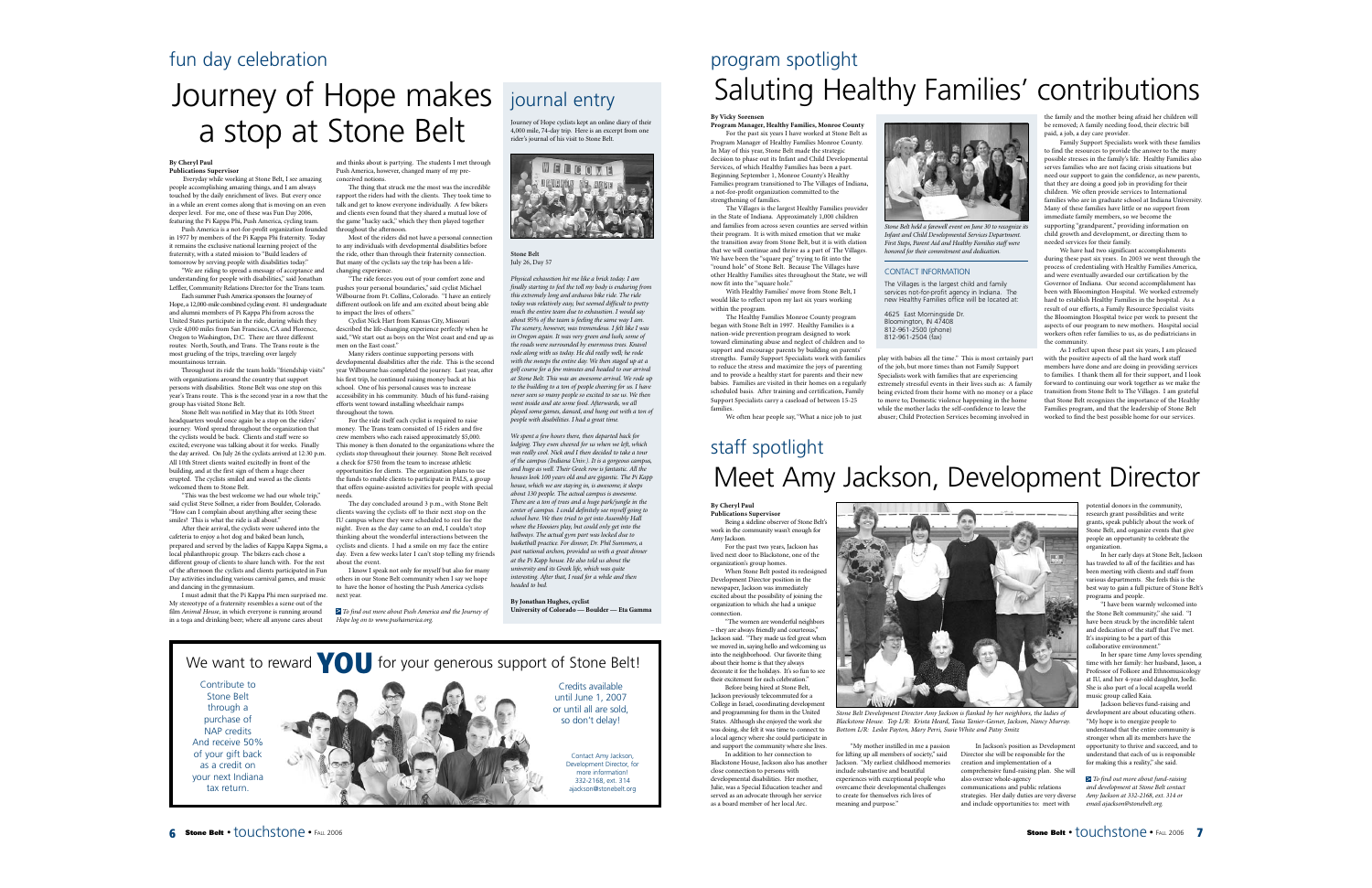# fun day celebration

# Journey of Hope makes a stop at Stone Belt

### **By Cheryl Paul Publications Supervisor**

Everyday while working at Stone Belt, I see amazing people accomplishing amazing things, and I am always touched by the daily enrichment of lives. But every once in a while an event comes along that is moving on an even deeper level. For me, one of these was Fun Day 2006, featuring the Pi Kappa Phi, Push America, cycling team.

Push America is a not-for-profit organization founded in 1977 by members of the Pi Kappa Phi fraternity. Today it remains the exclusive national learning project of the fraternity, with a stated mission to "Build leaders of tomorrow by serving people with disabilities today."

"We are riding to spread a message of acceptance and understanding for people with disabilities," said Jonathan Leffler, Community Relations Director for the Trans team. Each summer Push America sponsors the Journey of

Hope, a 12,000-mile combined cycling event. 81 undergraduate and alumni members of Pi Kappa Phi from across the United States participate in the ride, during which they cycle 4,000 miles from San Francisco, CA and Florence, Oregon to Washington, D.C. There are three different routes: North, South, and Trans. The Trans route is the most grueling of the trips, traveling over largely mountainous terrain.

Throughout its ride the team holds "friendship visits" with organizations around the country that support persons with disabilities. Stone Belt was one stop on this year's Trans route. This is the second year in a row that the group has visited Stone Belt.

Stone Belt was notified in May that its 10th Street headquarters would once again be a stop on the riders' journey. Word spread throughout the organization that the cyclists would be back. Clients and staff were so excited; everyone was talking about it for weeks. Finally the day arrived. On July 26 the cyclists arrived at 12:30 p.m. All 10th Street clients waited excitedly in front of the building, and at the first sign of them a huge cheer erupted. The cyclists smiled and waved as the clients welcomed them to Stone Belt.

"This was the best welcome we had our whole trip," said cyclist Steve Sollner, a rider from Boulder, Colorado. "How can I complain about anything after seeing these smiles? This is what the ride is all about?

After their arrival, the cyclists were ushered into the cafeteria to enjoy a hot dog and baked bean lunch, prepared and served by the ladies of Kappa Kappa Sigma, <sup>a</sup> local philanthropic group. The bikers each chose a different group of clients to share lunch with. For the rest of the afternoon the cyclists and clients participated in Fun Day activities including various carnival games, and music and dancing in the gymnasium.

I must admit that the Pi Kappa Phi men surprised me. My stereotype of a fraternity resembles a scene out of the film *Animal House,* in which everyone is running around in a toga and drinking beer; where all anyone cares about

and thinks about is partying. The students I met through Push America, however, changed many of my preconceived notions.

The thing that struck me the most was the incredible rapport the riders had with the clients. They took time to talk and get to know everyone individually. A few bikers and clients even found that they shared a mutual love of the game "hacky sack," which they then played together throughout the afternoon.

Most of the riders did not have a personal connection to any individuals with developmental disabilities before the ride, other than through their fraternity connection. But many of the cyclists say the trip has been a lifechanging experience.

"The ride forces you out of your comfort zone and pushes your personal boundaries," said cyclist Michael Wilbourne from Ft. Collins, Colorado. "I have an entirely different outlook on life and am excited about being able to impact the lives of others."

Cyclist Nick Hart from Kansas City, Missouri described the life-changing experience perfectly when he said, "We start out as boys on the West coast and end up as men on the East coast."

Many riders continue supporting persons with developmental disabilities after the ride. This is the second year Wilbourne has completed the journey. Last year, after his first trip, he continued raising money back at his school. One of his personal causes was to increase accessibility in his community. Much of his fund-raising efforts went toward installing wheelchair ramps throughout the town.

For the ride itself each cyclist is required to raise money. The Trans team consisted of 15 riders and five crew members who each raised approximately \$5,000. This money is then donated to the organizations where the cyclists stop throughout their journey. Stone Belt received a check for \$750 from the team to increase athletic opportunities for clients. The organization plans to use the funds to enable clients to participate in PALS, a group that offers equine-assisted activities for people with special needs.

The day concluded around 3 p.m., with Stone Belt clients waving the cyclists off to their next stop on the IU campus where they were scheduled to rest for the night. Even as the day came to an end, I couldn't stop thinking about the wonderful interactions between the cyclists and clients. I had a smile on my face the entire day. Even a few weeks later I can't stop telling my friends about the event.

I know I speak not only for myself but also for many others in our Stone Belt community when I say we hope to have the honor of hosting the Push America cyclists next year.

*To find out more about Push America and the Journey of* > *Hope log on to www.pushamerica.org.*

# journal entry

Journey of Hope cyclists kept an online diary of their 4,000 mile, 74-day trip. Here is an excerpt from one rider's journal of his visit to Stone Belt.



**Stone Belt** July 26, Day 57

> *Physical exhaustion hit me like a brick today. I am finally starting to feel the toll my body is enduring from this extremely long and arduous bike ride. The ride today was relatively easy, but seemed difficult to pretty much the entire team due to exhaustion. I would say about 95% of the team is feeling the same way I am. The scenery, however, was tremendous. I felt like I was in Oregon again. It was very green and lush; some of the roads were surrounded by enormous trees. Knavel rode along with us today. He did really well; he rode with the sweeps the entire day. We then staged up at a golf course for a few minutes and headed to our arrival at Stone Belt. This was an awesome arrival. We rode up to the building to a ton of people cheering for us. I have never seen so many people so excited to see us. We then went inside and ate some food. Afterwards, we all played some games, danced, and hung out with a ton of people with disabilities. I had a great time.*

*We spent a few hours there, then departed back for lodging. They even cheered for us when we left, which was really cool. Nick and I then decided to take a tour of the campus (Indiana Univ.). It is a gorgeous campus, and huge as well. Their Greek row is fantastic. All the houses look 100 years old and are gigantic. The Pi Kapp house, which we are staying in, is awesome; it sleeps about 130 people. The actual campus is awesome. There are a ton of trees and a huge park/jungle in the center of campus. I could definitely see myself going to school here. We then tried to get into Assembly Hall where the Hoosiers play, but could only get into the hallways. The actual gym part was locked due to basketball practice. For dinner, Dr. Phil Summers, <sup>a</sup> past national archon, provided us with a great dinner at the Pi Kapp house. He also told us about the university and its Greek life, which was quite interesting. After that, I read for a while and then headed to bed.*

**By Jonathan Hughes, cyclist**

**University of Colorado — Boulder — Eta Gamma**

# program spotlight Saluting Healthy Families' contributions

# **By Vicky Sorensen**

**Program Manager, Healthy Families, Monroe County** For the past six years I have worked at Stone Belt as Program Manager of Healthy Families Monroe County. In May of this year, Stone Belt made the strategic decision to phase out its Infant and Child Developmental Services, of which Healthy Families has been a part. Beginning September 1, Monroe County's Healthy Families program transitioned to The Villages of Indiana a not-for-profit organization committed to the strengthening of families.

The Villages is the largest Healthy Families provider in the State of Indiana. Approximately 1,000 children and families from across seven counties are served within their program. It is with mixed emotion that we make the transition away from Stone Belt, but it is with elation that we will continue and thrive as a part of The Villages. We have been the "square peg" trying to fit into the "round hole" of Stone Belt. Because The Villages have other Healthy Families sites throughout the State, we will now fit into the "square hole."

With Healthy Families' move from Stone Belt, <sup>I</sup> would like to reflect upon my last six years working within the program.

The Healthy Families Monroe County program began with Stone Belt in 1997. Healthy Families is a nation-wide prevention program designed to work toward eliminating abuse and neglect of children and to support and encourage parents by building on parents strengths. Family Support Specialists work with families to reduce the stress and maximize the joys of parenting and to provide a healthy start for parents and their new babies. Families are visited in their homes on a regularly scheduled basis. After training and certification, Family Support Specialists carry a caseload of between 15-25 families

We often hear people say, "What a nice job to just

# staff spotlight Meet Amy Jackson, Development Director

play with babies all the time." This is most certainly part of the job, but more times than not Family Support Specialists work with families that are experiencing extremely stressful events in their lives such as: A family being evicted from their home with no money or a place to move to; Domestic violence happening in the home while the mother lacks the self-confidence to leave the abuser; Child Protection Services becoming involved in

*Stone Belt held a farewell event on June 30 to recognize its Infant and Child Developmental Services Department. First Steps, Parent Aid and Healthy Families staff were honored for their commitment and dedication.*

CONTACT INFORMATION

4625 East Morningside Dr. Bloomington, IN 47408 812-961-2500 (phone) 812-961-2504 (fax)

The Villages is the largest child and family services not-for-profit agency in Indiana. The new Healthy Families office will be located at:

# **By Cheryl Paul**

**Publications Supervisor** Being a sideline observer of Stone Belt's work in the community wasn't enough for Amy Jackson.

For the past two years, Jackson has lived next door to Blackstone, one of the organization's group homes. When Stone Belt posted its redesigned

Development Director position in the newspaper, Jackson was immediately excited about the possibility of joining the organization to which she had a unique connection.

"The women are wonderful neighbors – they are always friendly and courteous," Jackson said. "They made us feel great when we moved in, saying hello and welcoming us into the neighborhood. Our favorite thing about their home is that they always decorate it for the holidays. It's so fun to see their excitement for each celebration."

Before being hired at Stone Belt, Jackson previously telecommuted for a College in Israel, coordinating development and programming for them in the United States. Although she enjoyed the work she was doing, she felt it was time to connect to a local agency where she could participate in and support the community where she lives.

In addition to her connection to Blackstone House, Jackson also has another close connection to persons with developmental disabilities. Her mother, Julie, was a Special Education teacher and served as an advocate through her service as a board member of her local Arc.



*Stone Belt Development Director Amy Jackson is flanked by her neighbors, the ladies of Blackstone House. Top L/R: Krista Heard, Tasia Tanier-Gesner, Jackson, Nancy Murray. Bottom L/R: Leslee Payton, Mary Perri, Susie White and Patsy Smitz*

"My mother instilled in me a passion for lifting up all members of society," said Jackson. "My earliest childhood memories include substantive and beautiful experiences with exceptional people who overcame their developmental challenges to create for themselves rich lives of meaning and purpose.' In Jackson's position as Development Director she will be responsible for the creation and implementation of <sup>a</sup> comprehensive fund-raising plan. She will also oversee whole-agency communications and public relations strategies. Her daily duties are very diverse and include opportunities to: meet with

the family and the mother being afraid her children will be removed; A family needing food, their electric bill paid, a job, a day care provider.

Family Support Specialists work with these families to find the resources to provide the answer to the many possible stresses in the family's life. Healthy Families also serves families who are not facing crisis situations but need our support to gain the confidence, as new parents, that they are doing a good job in providing for their children. We often provide services to International families who are in graduate school at Indiana University. Many of these families have little or no support from immediate family members, so we become the supporting "grandparent," providing information on child growth and development, or directing them to needed services for their family.

We have had two significant accomplishments during these past six years. In 2003 we went through the process of credentialing with Healthy Families America, and were eventually awarded our certification by the Governor of Indiana. Our second accomplishment has been with Bloomington Hospital. We worked extremely hard to establish Healthy Families in the hospital. As a result of our efforts, a Family Resource Specialist visits the Bloomington Hospital twice per week to present the aspects of our program to new mothers. Hospital social workers often refer families to us, as do pediatricians in the community.

As I reflect upon these past six years, I am pleased

with the positive aspects of all the hard work staff members have done and are doing in providing services to families. I thank them all for their support, and I look forward to continuing our work together as we make the transition from Stone Belt to The Villages. I am grateful that Stone Belt recognizes the importance of the Healthy Families program, and that the leadership of Stone Belt worked to find the best possible home for our services.

> potential donors in the community, research grant possibilities and write grants, speak publicly about the work of Stone Belt, and organize events that give people an opportunity to celebrate the organization.

In her early days at Stone Belt, Jackson has traveled to all of the facilities and has been meeting with clients and staff from various departments. She feels this is the best way to gain a full picture of Stone Belt's programs and people.

"I have been warmly welcomed into the Stone Belt community," she said. "I have been struck by the incredible talent and dedication of the staff that I've met. It's inspiring to be a part of this collaborative environment."

In her spare time Amy loves spending time with her family: her husband, Jason, <sup>a</sup> Professor of Folkore and Ethnomusicology at III, and her 4-year-old daughter, Joelle She is also part of a local acapella world music group called Kaia.

Jackson believes fund-raising and development are about educating others. "My hope is to energize people to understand that the entire community is stronger when all its members have the opportunity to thrive and succeed, and to understand that each of us is responsible for making this a reality," she said.

*To find out more about fund-raising*  >*and development at Stone Belt contact Amy Jackson at 332-2168, ext. 314 or email ajackson@stonebelt.org.*

We want to reward **YOU** for your generous support of Stone Belt! Contribute to Stone Belt through a purchase of NAP credits And receive 50% of your gift back as a credit on your next Indiana tax return. Contact Amy Jackson, Development Director, for more information! 332-2168, ext. 314 ajackson@stonebelt.org Credits available until June 1, 2007 or until all are sold, so don't delay!